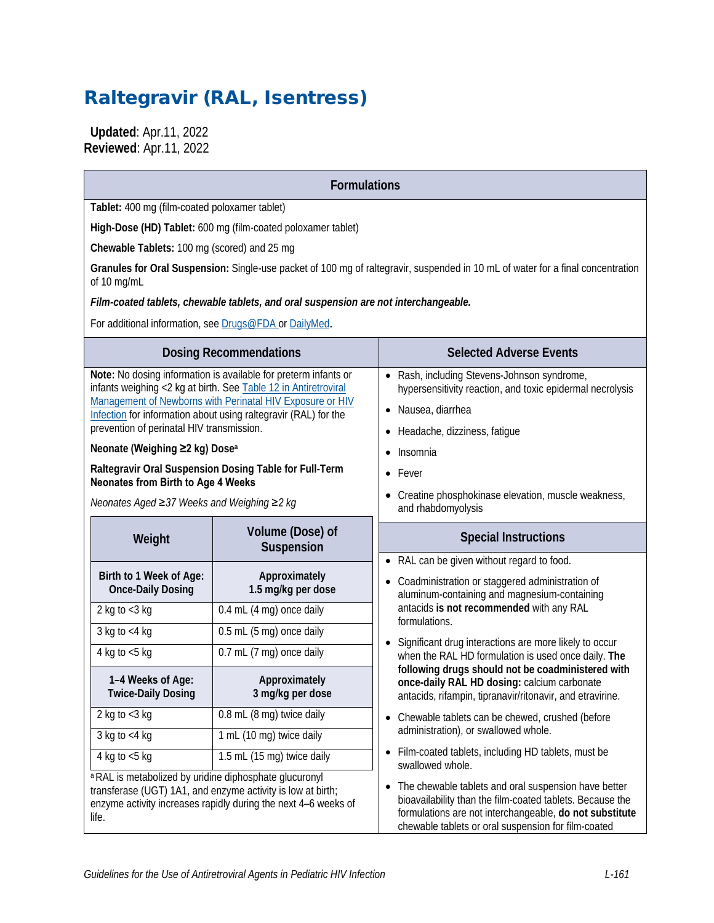# Raltegravir (RAL, Isentress)

 **Updated**: Apr.11, 2022 **Reviewed**: Apr.11, 2022

### **Formulations**

**Tablet:** 400 mg (film-coated poloxamer tablet)

**High-Dose (HD) Tablet:** 600 mg (film-coated poloxamer tablet)

**Chewable Tablets:** 100 mg (scored) and 25 mg

**Granules for Oral Suspension:** Single-use packet of 100 mg of raltegravir, suspended in 10 mL of water for a final concentration of 10 mg/mL

*Film-coated tablets, chewable tablets, and oral suspension are not interchangeable.*

For additional information, see [Drugs@FDA](https://www.accessdata.fda.gov/scripts/cder/daf/) or [DailyMed](https://dailymed.nlm.nih.gov/dailymed/).

| For additional information, see Drugs@FDA or DallyMed.                                  |                                                                                                                                                                                                                                                                    |                                                                                                                                                                                                                                       |  |  |  |
|-----------------------------------------------------------------------------------------|--------------------------------------------------------------------------------------------------------------------------------------------------------------------------------------------------------------------------------------------------------------------|---------------------------------------------------------------------------------------------------------------------------------------------------------------------------------------------------------------------------------------|--|--|--|
|                                                                                         | <b>Dosing Recommendations</b>                                                                                                                                                                                                                                      | <b>Selected Adverse Events</b>                                                                                                                                                                                                        |  |  |  |
| prevention of perinatal HIV transmission.<br>Neonate (Weighing ≥2 kg) Dose <sup>a</sup> | Note: No dosing information is available for preterm infants or<br>infants weighing <2 kg at birth. See Table 12 in Antiretroviral<br>Management of Newborns with Perinatal HIV Exposure or HIV<br>Infection for information about using raltegravir (RAL) for the | • Rash, including Stevens-Johnson syndrome,<br>hypersensitivity reaction, and toxic epidermal necrolysis<br>· Nausea, diarrhea<br>Headache, dizziness, fatigue<br>$\bullet$<br>Insomnia<br>$\bullet$                                  |  |  |  |
|                                                                                         | Raltegravir Oral Suspension Dosing Table for Full-Term                                                                                                                                                                                                             | • Fever                                                                                                                                                                                                                               |  |  |  |
| <b>Neonates from Birth to Age 4 Weeks</b><br>Neonates Aged ≥37 Weeks and Weighing ≥2 kg |                                                                                                                                                                                                                                                                    | Creatine phosphokinase elevation, muscle weakness,<br>and rhabdomyolysis                                                                                                                                                              |  |  |  |
| Weight                                                                                  | Volume (Dose) of<br>Suspension                                                                                                                                                                                                                                     | <b>Special Instructions</b>                                                                                                                                                                                                           |  |  |  |
| Birth to 1 Week of Age:<br><b>Once-Daily Dosing</b>                                     | Approximately<br>1.5 mg/kg per dose                                                                                                                                                                                                                                | • RAL can be given without regard to food.<br>Coadministration or staggered administration of<br>aluminum-containing and magnesium-containing                                                                                         |  |  |  |
| 2 kg to $<$ 3 kg                                                                        | 0.4 mL (4 mg) once daily                                                                                                                                                                                                                                           | antacids is not recommended with any RAL<br>formulations.                                                                                                                                                                             |  |  |  |
| $3$ kg to <4 kg                                                                         | 0.5 mL (5 mg) once daily                                                                                                                                                                                                                                           | Significant drug interactions are more likely to occur<br>$\bullet$                                                                                                                                                                   |  |  |  |
| 4 kg to $<$ 5 kg                                                                        | 0.7 mL (7 mg) once daily                                                                                                                                                                                                                                           | when the RAL HD formulation is used once daily. The                                                                                                                                                                                   |  |  |  |
| 1-4 Weeks of Age:<br><b>Twice-Daily Dosing</b>                                          | Approximately<br>3 mg/kg per dose                                                                                                                                                                                                                                  | following drugs should not be coadministered with<br>once-daily RAL HD dosing: calcium carbonate<br>antacids, rifampin, tipranavir/ritonavir, and etravirine.                                                                         |  |  |  |
| 2 kg to $<$ 3 kg                                                                        | 0.8 mL (8 mg) twice daily                                                                                                                                                                                                                                          | • Chewable tablets can be chewed, crushed (before                                                                                                                                                                                     |  |  |  |
| $3$ kg to $<$ 4 kg                                                                      | 1 mL (10 mg) twice daily                                                                                                                                                                                                                                           | administration), or swallowed whole.                                                                                                                                                                                                  |  |  |  |
| 4 kg to $<$ 5 kg                                                                        | 1.5 mL (15 mg) twice daily                                                                                                                                                                                                                                         | Film-coated tablets, including HD tablets, must be<br>swallowed whole.                                                                                                                                                                |  |  |  |
| <sup>a</sup> RAL is metabolized by uridine diphosphate glucuronyl<br>life.              | transferase (UGT) 1A1, and enzyme activity is low at birth;<br>enzyme activity increases rapidly during the next 4-6 weeks of                                                                                                                                      | • The chewable tablets and oral suspension have better<br>bioavailability than the film-coated tablets. Because the<br>formulations are not interchangeable, do not substitute<br>chewable tablets or oral suspension for film-coated |  |  |  |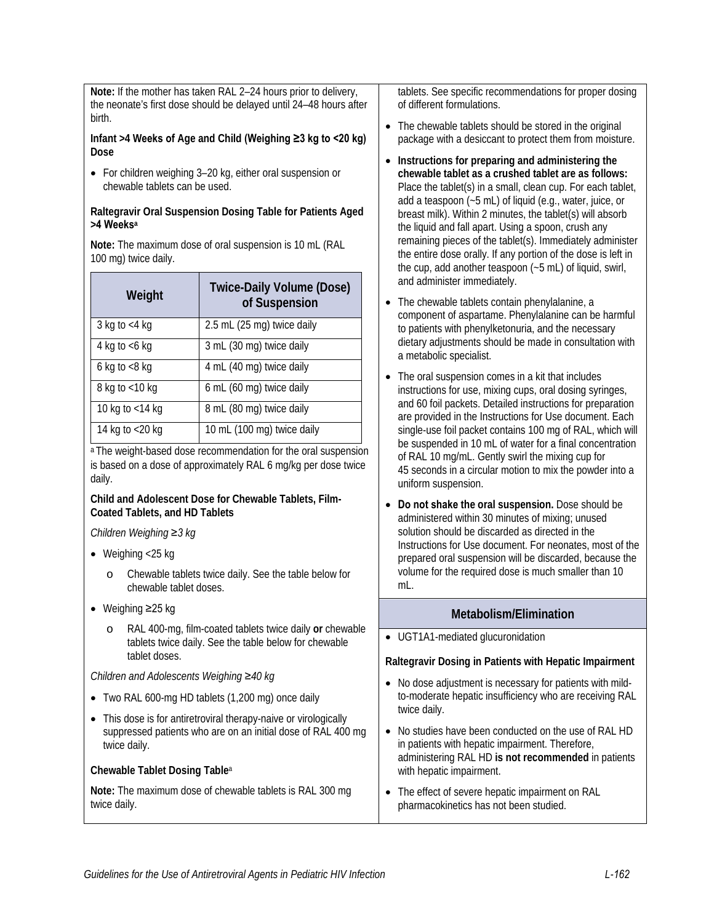**Note:** If the mother has taken RAL 2–24 hours prior to delivery, the neonate's first dose should be delayed until 24–48 hours after birth.

#### **Infant >4 Weeks of Age and Child (Weighing ≥3 kg to <20 kg) Dose**

• For children weighing 3–20 kg, either oral suspension or chewable tablets can be used.

#### **Raltegravir Oral Suspension Dosing Table for Patients Aged >4 Weeks<sup>a</sup>**

**Note:** The maximum dose of oral suspension is 10 mL (RAL 100 mg) twice daily.

| Weight             | <b>Twice-Daily Volume (Dose)</b><br>of Suspension |  |  |  |
|--------------------|---------------------------------------------------|--|--|--|
| 3 kg to $<$ 4 kg   | 2.5 mL (25 mg) twice daily                        |  |  |  |
| 4 kg to $<$ 6 kg   | 3 mL (30 mg) twice daily                          |  |  |  |
| 6 kg to $<8$ kg    | 4 mL (40 mg) twice daily                          |  |  |  |
| 8 kg to $<$ 10 kg  | 6 mL (60 mg) twice daily                          |  |  |  |
| 10 kg to $<$ 14 kg | 8 mL (80 mg) twice daily                          |  |  |  |
| 14 kg to <20 kg    | 10 mL (100 mg) twice daily                        |  |  |  |

a The weight-based dose recommendation for the oral suspension is based on a dose of approximately RAL 6 mg/kg per dose twice daily.

#### **Child and Adolescent Dose for Chewable Tablets, Film-Coated Tablets, and HD Tablets**

*Children Weighing ≥3 kg*

- Weighing  $<$ 25 kg
	- o Chewable tablets twice daily. See the table below for chewable tablet doses.
- Weighing ≥25 kg
	- o RAL 400-mg, film-coated tablets twice daily **or** chewable tablets twice daily. See the table below for chewable tablet doses.

*Children and Adolescents Weighing ≥40 kg* 

- Two RAL 600-mg HD tablets (1,200 mg) once daily
- This dose is for antiretroviral therapy-naive or virologically suppressed patients who are on an initial dose of RAL 400 mg twice daily.

### **Chewable Tablet Dosing Table**<sup>a</sup>

**Note:** The maximum dose of chewable tablets is RAL 300 mg twice daily.

tablets. See specific recommendations for proper dosing of different formulations.

- The chewable tablets should be stored in the original package with a desiccant to protect them from moisture.
- **Instructions for preparing and administering the chewable tablet as a crushed tablet are as follows:** Place the tablet(s) in a small, clean cup. For each tablet, add a teaspoon (~5 mL) of liquid (e.g., water, juice, or breast milk). Within 2 minutes, the tablet(s) will absorb the liquid and fall apart. Using a spoon, crush any remaining pieces of the tablet(s). Immediately administer the entire dose orally. If any portion of the dose is left in the cup, add another teaspoon (~5 mL) of liquid, swirl, and administer immediately.
- The chewable tablets contain phenylalanine, a component of aspartame. Phenylalanine can be harmful to patients with phenylketonuria, and the necessary dietary adjustments should be made in consultation with a metabolic specialist.
- The oral suspension comes in a kit that includes instructions for use, mixing cups, oral dosing syringes, and 60 foil packets. Detailed instructions for preparation are provided in the Instructions for Use document. Each single-use foil packet contains 100 mg of RAL, which will be suspended in 10 mL of water for a final concentration of RAL 10 mg/mL. Gently swirl the mixing cup for 45 seconds in a circular motion to mix the powder into a uniform suspension.
- **Do not shake the oral suspension.** Dose should be administered within 30 minutes of mixing; unused solution should be discarded as directed in the Instructions for Use document. For neonates, most of the prepared oral suspension will be discarded, because the volume for the required dose is much smaller than 10 mL.

### **Metabolism/Elimination**

• UGT1A1-mediated glucuronidation

### **Raltegravir Dosing in Patients with Hepatic Impairment**

- No dose adjustment is necessary for patients with mildto-moderate hepatic insufficiency who are receiving RAL twice daily.
- No studies have been conducted on the use of RAL HD in patients with hepatic impairment. Therefore, administering RAL HD **is not recommended** in patients with hepatic impairment.
- The effect of severe hepatic impairment on RAL pharmacokinetics has not been studied.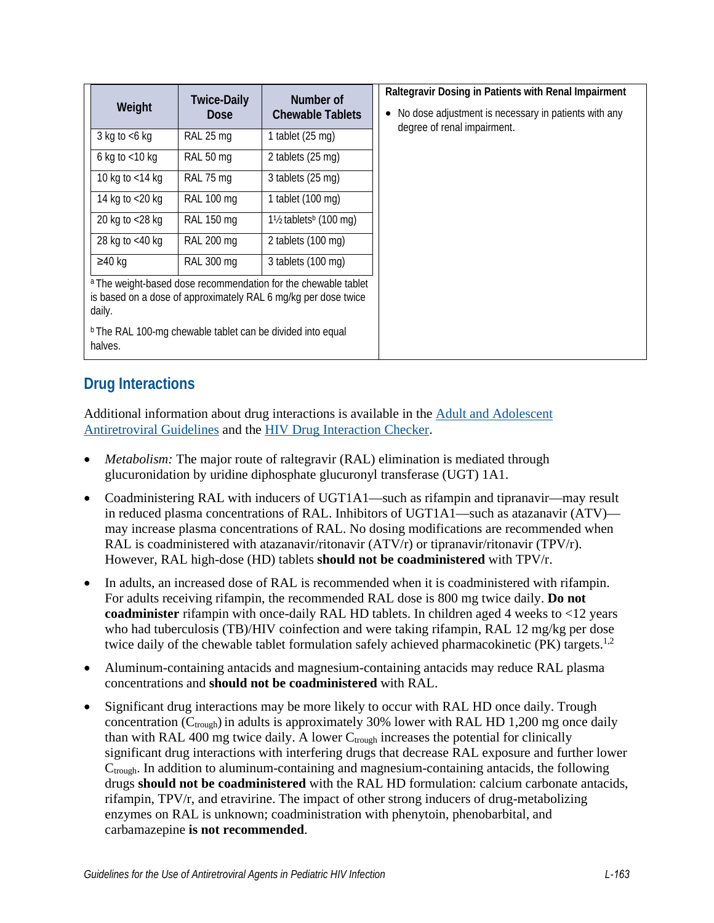| Weight                                                                                                                                                                                                                         | <b>Twice-Daily</b><br><b>Dose</b> | Number of<br><b>Chewable Tablets</b>         |  | Raltegravir Dosing in Patients with Renal Impairment<br>No dose adjustment is necessary in patients with any<br>$\bullet$ |
|--------------------------------------------------------------------------------------------------------------------------------------------------------------------------------------------------------------------------------|-----------------------------------|----------------------------------------------|--|---------------------------------------------------------------------------------------------------------------------------|
| 3 kg to $<$ 6 kg                                                                                                                                                                                                               | RAL 25 mg                         | 1 tablet $(25 \text{ mg})$                   |  | degree of renal impairment.                                                                                               |
| 6 kg to $<$ 10 kg                                                                                                                                                                                                              | RAL 50 mg                         | 2 tablets $(25 \text{ mg})$                  |  |                                                                                                                           |
| 10 kg to $<$ 14 kg                                                                                                                                                                                                             | RAL 75 mg                         | 3 tablets (25 mg)                            |  |                                                                                                                           |
| 14 kg to <20 kg                                                                                                                                                                                                                | <b>RAL 100 mg</b>                 | 1 tablet (100 mg)                            |  |                                                                                                                           |
| 20 kg to <28 kg                                                                                                                                                                                                                | RAL 150 mg                        | $1\frac{1}{2}$ tablets <sup>b</sup> (100 mg) |  |                                                                                                                           |
| 28 kg to $<$ 40 kg                                                                                                                                                                                                             | RAL 200 mg                        | 2 tablets $(100 \text{ mg})$                 |  |                                                                                                                           |
| $≥40$ kg                                                                                                                                                                                                                       | <b>RAL 300 mg</b>                 | 3 tablets (100 mg)                           |  |                                                                                                                           |
| a The weight-based dose recommendation for the chewable tablet<br>is based on a dose of approximately RAL 6 mg/kg per dose twice<br>daily.<br><sup>b</sup> The RAL 100-mg chewable tablet can be divided into equal<br>halves. |                                   |                                              |  |                                                                                                                           |

# **Drug Interactions**

Additional information about drug interactions is available in the [Adult and Adolescent](https://clinicalinfo.hiv.gov/en/guidelines/adult-and-adolescent-arv/whats-new-guidelines)  [Antiretroviral Guidelines](https://clinicalinfo.hiv.gov/en/guidelines/adult-and-adolescent-arv/whats-new-guidelines) and the [HIV Drug Interaction Checker.](http://www.hiv-druginteractions.org/)

- *Metabolism:* The major route of raltegravir (RAL) elimination is mediated through glucuronidation by uridine diphosphate glucuronyl transferase (UGT) 1A1.
- Coadministering RAL with inducers of UGT1A1—such as rifampin and tipranavir—may result in reduced plasma concentrations of RAL. Inhibitors of UGT1A1—such as atazanavir (ATV) may increase plasma concentrations of RAL. No dosing modifications are recommended when RAL is coadministered with atazanavir/ritonavir  $(ATV/r)$  or tipranavir/ritonavir  $(TPV/r)$ . However, RAL high-dose (HD) tablets **should not be coadministered** with TPV/r.
- In adults, an increased dose of RAL is recommended when it is coadministered with rifampin. For adults receiving rifampin, the recommended RAL dose is 800 mg twice daily. **Do not coadminister** rifampin with once-daily RAL HD tablets. In children aged 4 weeks to <12 years who had tuberculosis (TB)/HIV coinfection and were taking rifampin, RAL 12 mg/kg per dose twice daily of the chewable tablet formulation safely achieved pharmacokinetic (PK) targets.<sup>1,2</sup>
- Aluminum-containing antacids and magnesium-containing antacids may reduce RAL plasma concentrations and **should not be coadministered** with RAL.
- Significant drug interactions may be more likely to occur with RAL HD once daily. Trough concentration ( $C_{\text{trough}}$ ) in adults is approximately 30% lower with RAL HD 1,200 mg once daily than with RAL 400 mg twice daily. A lower  $C_{\text{trough}}$  increases the potential for clinically significant drug interactions with interfering drugs that decrease RAL exposure and further lower  $C_{trough}$ . In addition to aluminum-containing and magnesium-containing antacids, the following drugs **should not be coadministered** with the RAL HD formulation: calcium carbonate antacids, rifampin, TPV/r, and etravirine. The impact of other strong inducers of drug-metabolizing enzymes on RAL is unknown; coadministration with phenytoin, phenobarbital, and carbamazepine **is not recommended**.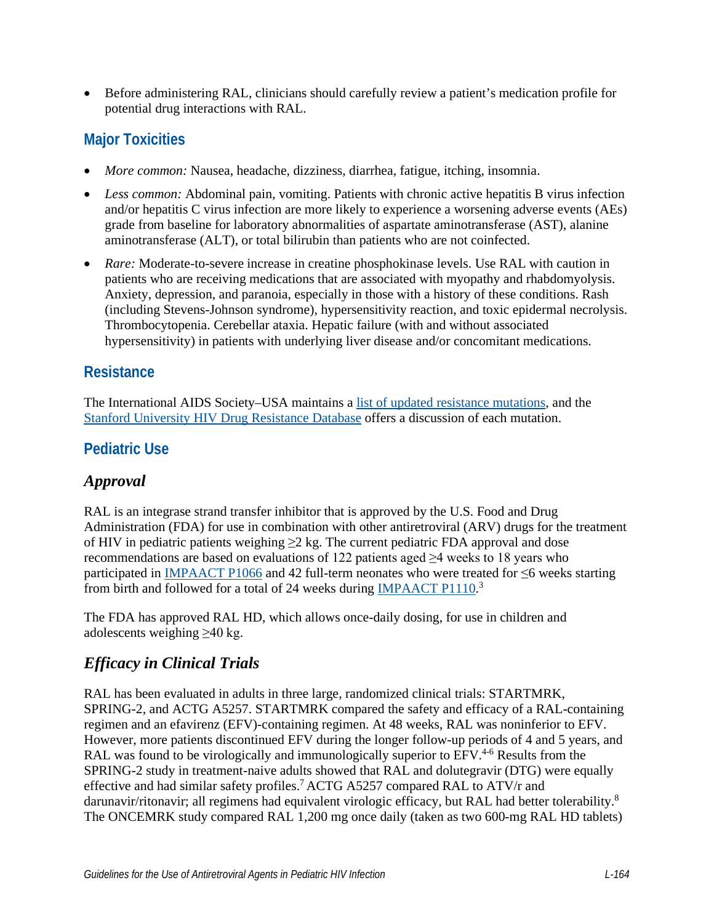• Before administering RAL, clinicians should carefully review a patient's medication profile for potential drug interactions with RAL.

# **Major Toxicities**

- *More common:* Nausea, headache, dizziness, diarrhea, fatigue, itching, insomnia.
- *Less common:* Abdominal pain, vomiting. Patients with chronic active hepatitis B virus infection and/or hepatitis C virus infection are more likely to experience a worsening adverse events (AEs) grade from baseline for laboratory abnormalities of aspartate aminotransferase (AST), alanine aminotransferase (ALT), or total bilirubin than patients who are not coinfected.
- *Rare:* Moderate-to-severe increase in creatine phosphokinase levels. Use RAL with caution in patients who are receiving medications that are associated with myopathy and rhabdomyolysis. Anxiety, depression, and paranoia, especially in those with a history of these conditions. Rash (including Stevens-Johnson syndrome), hypersensitivity reaction, and toxic epidermal necrolysis. Thrombocytopenia. Cerebellar ataxia. Hepatic failure (with and without associated hypersensitivity) in patients with underlying liver disease and/or concomitant medications.

# **Resistance**

The International AIDS Society–USA maintains a [list of updated resistance mutations,](https://www.iasusa.org/resources/hiv-drug-resistance-mutations/) and the [Stanford University HIV Drug Resistance Database](https://hivdb.stanford.edu/DR/) offers a discussion of each mutation.

# **Pediatric Use**

# *Approval*

RAL is an integrase strand transfer inhibitor that is approved by the U.S. Food and Drug Administration (FDA) for use in combination with other antiretroviral (ARV) drugs for the treatment of HIV in pediatric patients weighing  $\geq$  2 kg. The current pediatric FDA approval and dose recommendations are based on evaluations of 122 patients aged ≥4 weeks to 18 years who participated in [IMPAACT P1066](https://www.impaactnetwork.org/studies/p1066) and 42 full-term neonates who were treated for ≤6 weeks starting from birth and followed for a total of 24 weeks during **IMPAACT P1110.**<sup>3</sup>

The FDA has approved RAL HD, which allows once-daily dosing, for use in children and adolescents weighing ≥40 kg.

# *Efficacy in Clinical Trials*

RAL has been evaluated in adults in three large, randomized clinical trials: STARTMRK, SPRING-2, and ACTG A5257. STARTMRK compared the safety and efficacy of a RAL-containing regimen and an efavirenz (EFV)-containing regimen. At 48 weeks, RAL was noninferior to EFV. However, more patients discontinued EFV during the longer follow-up periods of 4 and 5 years, and RAL was found to be virologically and immunologically superior to EFV.<sup>4-6</sup> Results from the SPRING-2 study in treatment-naive adults showed that RAL and dolutegravir (DTG) were equally effective and had similar safety profiles.<sup>7</sup> ACTG A5257 compared RAL to ATV/r and darunavir/ritonavir; all regimens had equivalent virologic efficacy, but RAL had better tolerability.<sup>8</sup> The ONCEMRK study compared RAL 1,200 mg once daily (taken as two 600-mg RAL HD tablets)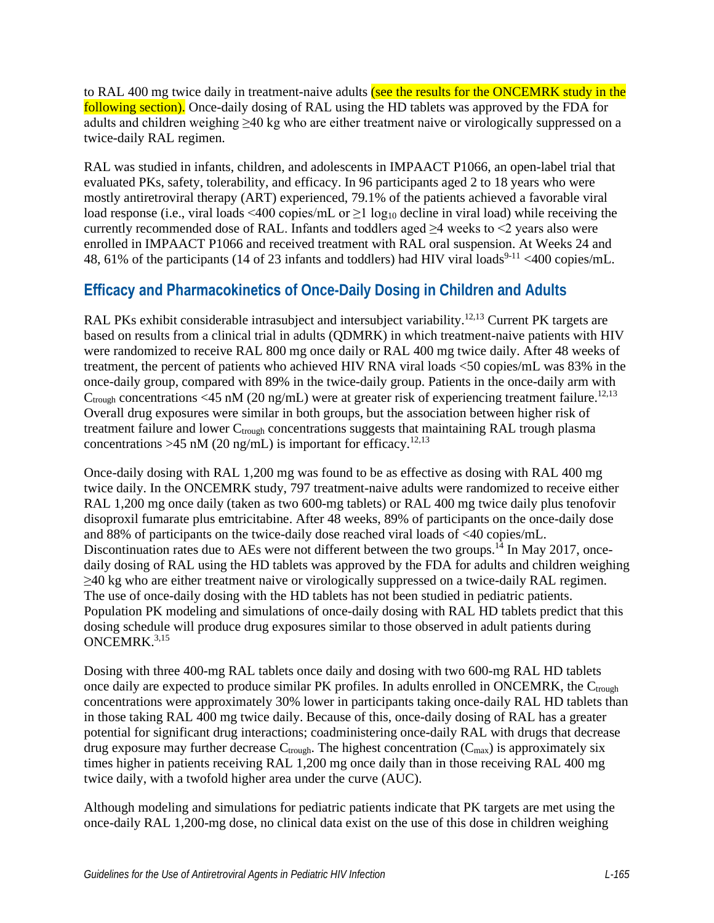to RAL 400 mg twice daily in treatment-naive adults (see the results for the ONCEMRK study in the following section). Once-daily dosing of RAL using the HD tablets was approved by the FDA for adults and children weighing >40 kg who are either treatment naive or virologically suppressed on a twice-daily RAL regimen.

RAL was studied in infants, children, and adolescents in IMPAACT P1066, an open-label trial that evaluated PKs, safety, tolerability, and efficacy. In 96 participants aged 2 to 18 years who were mostly antiretroviral therapy (ART) experienced, 79.1% of the patients achieved a favorable viral load response (i.e., viral loads <400 copies/mL or  $\geq$ 1 log<sub>10</sub> decline in viral load) while receiving the currently recommended dose of RAL. Infants and toddlers aged  $\geq 4$  weeks to  $\leq 2$  years also were enrolled in IMPAACT P1066 and received treatment with RAL oral suspension. At Weeks 24 and 48, 61% of the participants (14 of 23 infants and toddlers) had HIV viral loads<sup>9-11</sup> <400 copies/mL.

# **Efficacy and Pharmacokinetics of Once-Daily Dosing in Children and Adults**

RAL PKs exhibit considerable intrasubject and intersubject variability.<sup>12,13</sup> Current PK targets are based on results from a clinical trial in adults (QDMRK) in which treatment-naive patients with HIV were randomized to receive RAL 800 mg once daily or RAL 400 mg twice daily. After 48 weeks of treatment, the percent of patients who achieved HIV RNA viral loads <50 copies/mL was 83% in the once-daily group, compared with 89% in the twice-daily group. Patients in the once-daily arm with  $C_{\text{trough}}$  concentrations <45 nM (20 ng/mL) were at greater risk of experiencing treatment failure.<sup>12[,13](#page-12-1)</sup> Overall drug exposures were similar in both groups, but the association between higher risk of treatment failure and lower  $C_{\text{trough}}$  concentrations suggests that maintaining RAL trough plasma concentrations >45 nM (20 ng/mL) is important for efficacy.<sup>[12](#page-12-0)[,13](#page-12-1)</sup>

Once-daily dosing with RAL 1,200 mg was found to be as effective as dosing with RAL 400 mg twice daily. In the ONCEMRK study, 797 treatment-naive adults were randomized to receive either RAL 1,200 mg once daily (taken as two 600-mg tablets) or RAL 400 mg twice daily plus tenofovir disoproxil fumarate plus emtricitabine. After 48 weeks, 89% of participants on the once-daily dose and 88% of participants on the twice-daily dose reached viral loads of <40 copies/mL. Discontinuation rates due to AEs were not different between the two groups.<sup>14</sup> In May 2017, oncedaily dosing of RAL using the HD tablets was approved by the FDA for adults and children weighing ≥40 kg who are either treatment naive or virologically suppressed on a twice-daily RAL regimen. The use of once-daily dosing with the HD tablets has not been studied in pediatric patients. Population PK modeling and simulations of once-daily dosing with RAL HD tablets predict that this dosing schedule will produce drug exposures similar to those observed in adult patients during ONCEMRK.<sup>3[,15](#page-12-3)</sup>

Dosing with three 400-mg RAL tablets once daily and dosing with two 600-mg RAL HD tablets once daily are expected to produce similar PK profiles. In adults enrolled in ONCEMRK, the  $C_{\text{trough}}$ concentrations were approximately 30% lower in participants taking once-daily RAL HD tablets than in those taking RAL 400 mg twice daily. Because of this, once-daily dosing of RAL has a greater potential for significant drug interactions; coadministering once-daily RAL with drugs that decrease drug exposure may further decrease  $C_{trough}$ . The highest concentration  $(C_{max})$  is approximately six times higher in patients receiving RAL 1,200 mg once daily than in those receiving RAL 400 mg twice daily, with a twofold higher area under the curve (AUC).

Although modeling and simulations for pediatric patients indicate that PK targets are met using the once-daily RAL 1,200-mg dose, no clinical data exist on the use of this dose in children weighing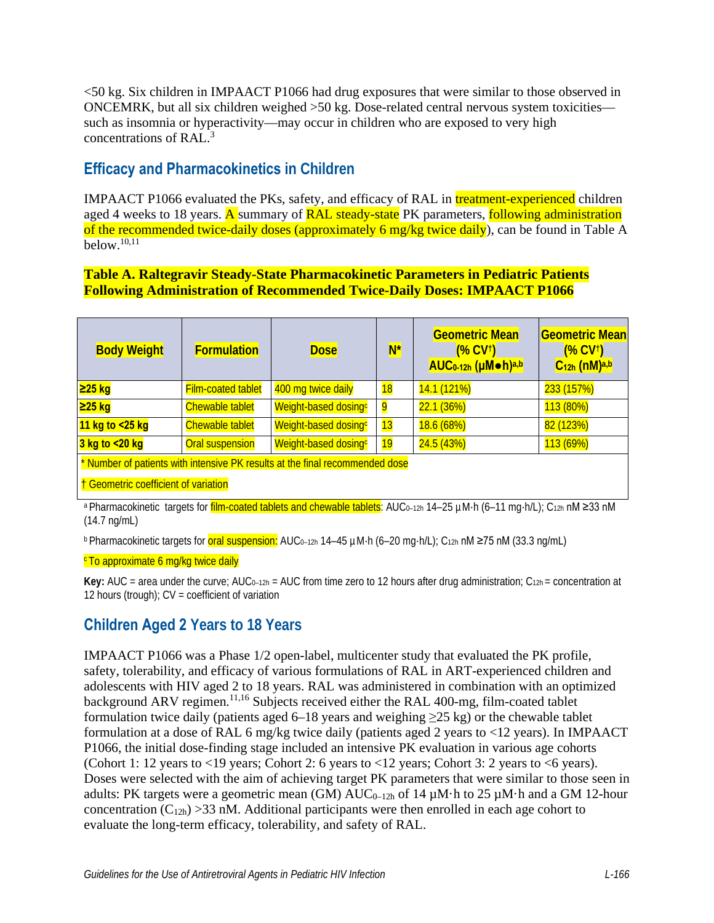<50 kg. Six children in IMPAACT P1066 had drug exposures that were similar to those observed in ONCEMRK, but all six children weighed >50 kg. Dose-related central nervous system toxicities such as insomnia or hyperactivity—may occur in children who are exposed to very high concentrations of RAL. [3](#page-11-0)

# **Efficacy and Pharmacokinetics in Children**

IMPAACT P1066 evaluated the PKs, safety, and efficacy of RAL in treatment-experienced children aged 4 weeks to 18 years. A summary of RAL steady-state PK parameters, following administration of the recommended twice-daily doses (approximately 6 mg/kg twice daily), can be found in Table A  $below<sup>10,11</sup>$  $below<sup>10,11</sup>$  $below<sup>10,11</sup>$ 

### **Table A. Raltegravir Steady-State Pharmacokinetic Parameters in Pediatric Patients Following Administration of Recommended Twice-Daily Doses: IMPAACT P1066**

| <b>Body Weight</b>                                                                                                                                                              | <b>Formulation</b>        | <b>Dose</b>                      | $N^*$ | <b>Geometric Mean</b><br>(V <sup>†</sup> )<br>AUC <sub>0-12h</sub> (µMoh)a,b | <b>Geometric Mean</b><br>(% CV <sup>†</sup> )<br>$C12h$ (nM) <sup>a,b</sup> |  |
|---------------------------------------------------------------------------------------------------------------------------------------------------------------------------------|---------------------------|----------------------------------|-------|------------------------------------------------------------------------------|-----------------------------------------------------------------------------|--|
| <mark>≥25 kg</mark>                                                                                                                                                             | <b>Film-coated tablet</b> | 400 mg twice daily               | 18    | 14.1 (121%)                                                                  | 233 (157%)                                                                  |  |
| <mark>≥25 kg</mark>                                                                                                                                                             | <b>Chewable tablet</b>    | Weight-based dosingc             | 9     | 22.1(36%)                                                                    | 113 (80%)                                                                   |  |
| 11 kg to <25 kg                                                                                                                                                                 | <b>Chewable tablet</b>    | Weight-based dosing <sup>c</sup> | 13    | 18.6 (68%)                                                                   | 82 (123%)                                                                   |  |
| 3 kg to <20 kg                                                                                                                                                                  | Oral suspension           | Weight-based dosing <sup>c</sup> | 19    | 24.5 (43%)                                                                   | 113(69%)                                                                    |  |
| * Number of patients with intensive PK results at the final recommended dose                                                                                                    |                           |                                  |       |                                                                              |                                                                             |  |
| † Geometric coefficient of variation                                                                                                                                            |                           |                                  |       |                                                                              |                                                                             |  |
| a Dharmacokinotic targete for film coated tablets and chouvable tablets <sup>1</sup> AUC <sub>2,22</sub> , 14, 25 uM b (6, 11 mg b/l) <sup>1</sup> C <sub>22</sub> , nM > 33 nM |                           |                                  |       |                                                                              |                                                                             |  |

etic targets for <mark>film-coated tablets and chewable tablets</mark>: AUC<sub>0–12h</sub> 14–25 µM·h (6–11 mg·h/L); C<sub>12h</sub> nM ≥33 nM (14.7 ng/mL)

**b Pharmacokinetic targets for oral suspension:** AUC<sub>0-12h</sub> 14–45 µM·h (6–20 mg·h/L); C<sub>12h</sub> nM ≥75 nM (33.3 ng/mL)

#### <sup>c</sup> To approximate 6 mg/kg twice daily

**Key:** AUC = area under the curve; AUC<sub>0-12h</sub> = AUC from time zero to 12 hours after drug administration;  $C_{12h}$  = concentration at 12 hours (trough);  $CV = coefficient of variation$ 

# **Children Aged 2 Years to 18 Years**

IMPAACT P1066 was a Phase 1/2 open-label, multicenter study that evaluated the PK profile, safety, tolerability, and efficacy of various formulations of RAL in ART-experienced children and adolescents with HIV aged 2 to 18 years. RAL was administered in combination with an optimized background ARV regimen.<sup>[11,](#page-12-4)[16](#page-12-5)</sup> Subjects received either the RAL 400-mg, film-coated tablet formulation twice daily (patients aged 6–18 years and weighing  $\geq$ 25 kg) or the chewable tablet formulation at a dose of RAL 6 mg/kg twice daily (patients aged 2 years to <12 years). In IMPAACT P1066, the initial dose-finding stage included an intensive PK evaluation in various age cohorts (Cohort 1: 12 years to <19 years; Cohort 2: 6 years to <12 years; Cohort 3: 2 years to <6 years). Doses were selected with the aim of achieving target PK parameters that were similar to those seen in adults: PK targets were a geometric mean (GM)  $AUC_{0-12h}$  of 14  $\mu$ M·h to 25  $\mu$ M·h and a GM 12-hour concentration  $(C_{12h}) > 33$  nM. Additional participants were then enrolled in each age cohort to evaluate the long-term efficacy, tolerability, and safety of RAL.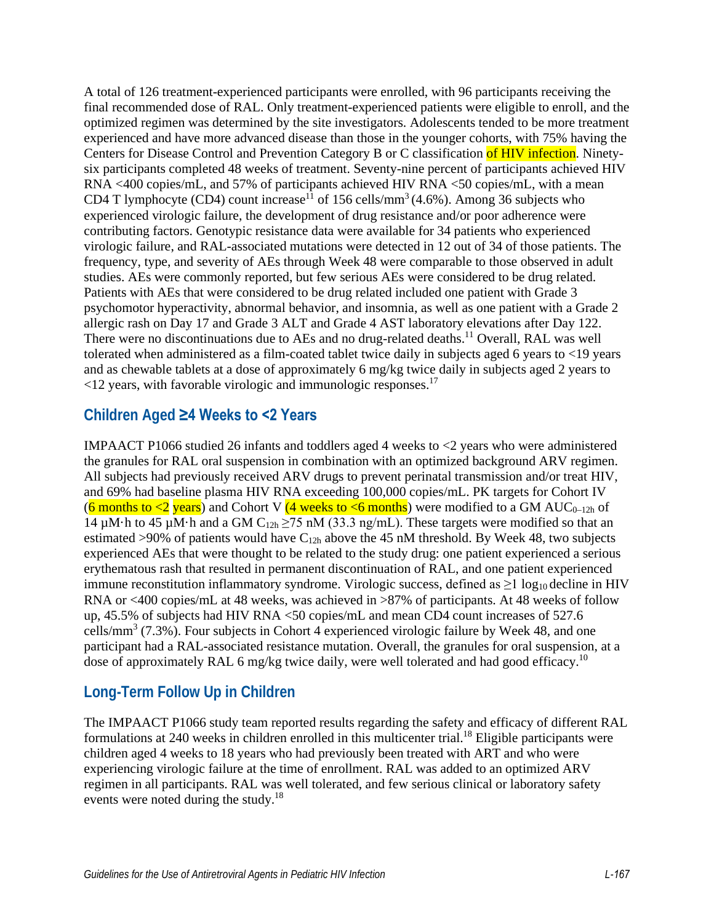A total of 126 treatment-experienced participants were enrolled, with 96 participants receiving the final recommended dose of RAL. Only treatment-experienced patients were eligible to enroll, and the optimized regimen was determined by the site investigators. Adolescents tended to be more treatment experienced and have more advanced disease than those in the younger cohorts, with 75% having the Centers for Disease Control and Prevention Category B or C classification of HIV infection. Ninetysix participants completed 48 weeks of treatment. Seventy-nine percent of participants achieved HIV RNA <400 copies/mL, and 57% of participants achieved HIV RNA <50 copies/mL, with a mean CD4 T lymphocyte (CD4) count increase<sup>11</sup> of 156 cells/mm<sup>3</sup> (4.6%). Among 36 subjects who experienced virologic failure, the development of drug resistance and/or poor adherence were contributing factors. Genotypic resistance data were available for 34 patients who experienced virologic failure, and RAL-associated mutations were detected in 12 out of 34 of those patients. The frequency, type, and severity of AEs through Week 48 were comparable to those observed in adult studies. AEs were commonly reported, but few serious AEs were considered to be drug related. Patients with AEs that were considered to be drug related included one patient with Grade 3 psychomotor hyperactivity, abnormal behavior, and insomnia, as well as one patient with a Grade 2 allergic rash on Day 17 and Grade 3 ALT and Grade 4 AST laboratory elevations after Day 122. There were no discontinuations due to AEs and no drug-related deaths.<sup>11</sup> Overall, RAL was well tolerated when administered as a film-coated tablet twice daily in subjects aged 6 years to <19 years and as chewable tablets at a dose of approximately 6 mg/kg twice daily in subjects aged 2 years to  $\langle 12 \rangle$  years, with favorable virologic and immunologic responses.<sup>17</sup>

### **Children Aged ≥4 Weeks to <2 Years**

IMPAACT P1066 studied 26 infants and toddlers aged 4 weeks to <2 years who were administered the granules for RAL oral suspension in combination with an optimized background ARV regimen. All subjects had previously received ARV drugs to prevent perinatal transmission and/or treat HIV, and 69% had baseline plasma HIV RNA exceeding 100,000 copies/mL. PK targets for Cohort IV (6 months to <2 years) and Cohort V (4 weeks to <6 months) were modified to a GM AUC<sub>0-12h</sub> of 14  $\mu$ M·h to 45  $\mu$ M·h and a GM C<sub>12h</sub>  $\geq$ 75 nM (33.3 ng/mL). These targets were modified so that an estimated >90% of patients would have  $C_{12h}$  above the 45 nM threshold. By Week 48, two subjects experienced AEs that were thought to be related to the study drug: one patient experienced a serious erythematous rash that resulted in permanent discontinuation of RAL, and one patient experienced immune reconstitution inflammatory syndrome. Virologic success, defined as  $\geq 1 \log_{10}$  decline in HIV RNA or <400 copies/mL at 48 weeks, was achieved in >87% of participants. At 48 weeks of follow up, 45.5% of subjects had HIV RNA <50 copies/mL and mean CD4 count increases of 527.6 cells/mm<sup>3</sup> (7.3%). Four subjects in Cohort 4 experienced virologic failure by Week 48, and one participant had a RAL-associated resistance mutation. Overall, the granules for oral suspension, at a dose of approximately RAL 6 mg/kg twice daily, were well tolerated and had good efficacy.<sup>10</sup>

# **Long-Term Follow Up in Children**

The IMPAACT P1066 study team reported results regarding the safety and efficacy of different RAL formulations at 240 weeks in children enrolled in this multicenter trial.<sup>18</sup> Eligible participants were children aged 4 weeks to 18 years who had previously been treated with ART and who were experiencing virologic failure at the time of enrollment. RAL was added to an optimized ARV regimen in all participants. RAL was well tolerated, and few serious clinical or laboratory safety events were noted during the study.<sup>18</sup>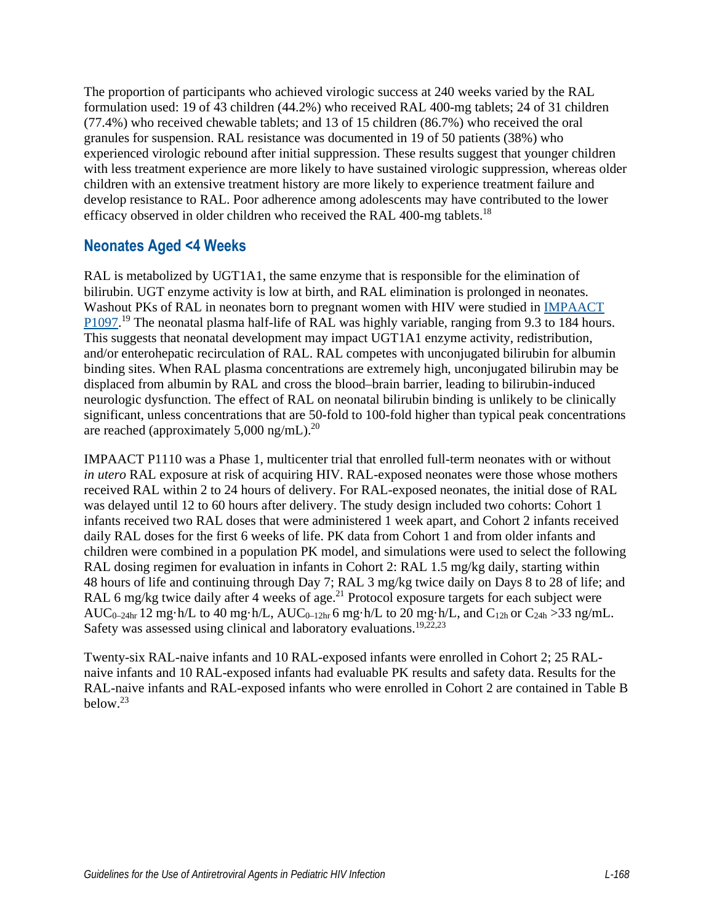The proportion of participants who achieved virologic success at 240 weeks varied by the RAL formulation used: 19 of 43 children (44.2%) who received RAL 400-mg tablets; 24 of 31 children (77.4%) who received chewable tablets; and 13 of 15 children (86.7%) who received the oral granules for suspension. RAL resistance was documented in 19 of 50 patients (38%) who experienced virologic rebound after initial suppression. These results suggest that younger children with less treatment experience are more likely to have sustained virologic suppression, whereas older children with an extensive treatment history are more likely to experience treatment failure and develop resistance to RAL. Poor adherence among adolescents may have contributed to the lower efficacy observed in older children who received the RAL 400-mg tablets.<sup>18</sup>

# **Neonates Aged <4 Weeks**

RAL is metabolized by UGT1A1, the same enzyme that is responsible for the elimination of bilirubin. UGT enzyme activity is low at birth, and RAL elimination is prolonged in neonates. Washout PKs of RAL in neonates born to pregnant women with HIV were studied in [IMPAACT](https://www.impaactnetwork.org/studies/p1097)  [P1097.](https://www.impaactnetwork.org/studies/p1097)<sup>[19](#page-12-8)</sup> The neonatal plasma half-life of RAL was highly variable, ranging from 9.3 to 184 hours. This suggests that neonatal development may impact UGT1A1 enzyme activity, redistribution, and/or enterohepatic recirculation of RAL. RAL competes with unconjugated bilirubin for albumin binding sites. When RAL plasma concentrations are extremely high, unconjugated bilirubin may be displaced from albumin by RAL and cross the blood–brain barrier, leading to bilirubin-induced neurologic dysfunction. The effect of RAL on neonatal bilirubin binding is unlikely to be clinically significant, unless concentrations that are 50-fold to 100-fold higher than typical peak concentrations are reached (approximately  $5,000$  ng/mL).<sup>20</sup>

IMPAACT P1110 was a Phase 1, multicenter trial that enrolled full-term neonates with or without *in utero* RAL exposure at risk of acquiring HIV. RAL-exposed neonates were those whose mothers received RAL within 2 to 24 hours of delivery. For RAL-exposed neonates, the initial dose of RAL was delayed until 12 to 60 hours after delivery. The study design included two cohorts: Cohort 1 infants received two RAL doses that were administered 1 week apart, and Cohort 2 infants received daily RAL doses for the first 6 weeks of life. PK data from Cohort 1 and from older infants and children were combined in a population PK model, and simulations were used to select the following RAL dosing regimen for evaluation in infants in Cohort 2: RAL 1.5 mg/kg daily, starting within 48 hours of life and continuing through Day 7; RAL 3 mg/kg twice daily on Days 8 to 28 of life; and RAL 6 mg/kg twice daily after 4 weeks of age.<sup>21</sup> Protocol exposure targets for each subject were AUC<sub>0–24hr</sub> 12 mg·h/L to 40 mg·h/L, AUC<sub>0–12hr</sub> 6 mg·h/L to 20 mg·h/L, and C<sub>12h</sub> or C<sub>24h</sub> > 33 ng/mL. Safety was assessed using clinical and laboratory evaluations.<sup>[19,](#page-12-8)[22](#page-13-2)[,23](#page-13-3)</sup>

Twenty-six RAL-naive infants and 10 RAL-exposed infants were enrolled in Cohort 2; 25 RALnaive infants and 10 RAL-exposed infants had evaluable PK results and safety data. Results for the RAL-naive infants and RAL-exposed infants who were enrolled in Cohort 2 are contained in Table B below[.23](#page-13-3)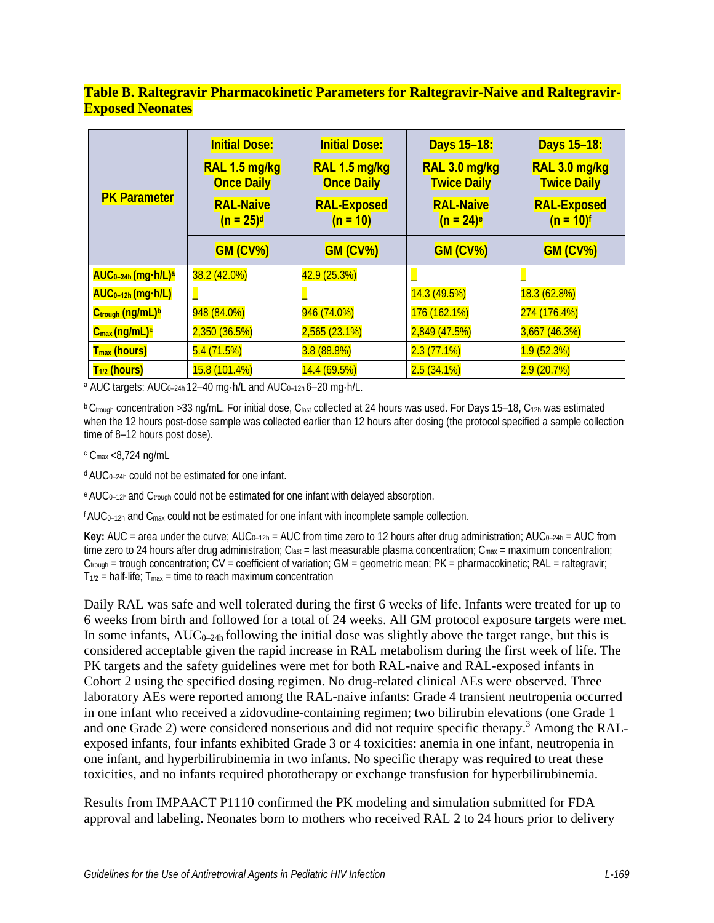### **Table B. Raltegravir Pharmacokinetic Parameters for Raltegravir-Naive and Raltegravir-Exposed Neonates**

|                                            | <b>Initial Dose:</b>               | <b>Initial Dose:</b>               | Days 15-18:                                 | Days 15-18:                         |
|--------------------------------------------|------------------------------------|------------------------------------|---------------------------------------------|-------------------------------------|
|                                            | RAL 1.5 mg/kg<br><b>Once Daily</b> | RAL 1.5 mg/kg<br><b>Once Daily</b> | RAL 3.0 mg/kg<br><b>Twice Daily</b>         | RAL 3.0 mg/kg<br><b>Twice Daily</b> |
| <b>PK Parameter</b>                        | <b>RAL-Naive</b><br>$(n = 25)^d$   | <b>RAL-Exposed</b><br>$(n = 10)$   | <b>RAL-Naive</b><br>$(n = 24)$ <sup>e</sup> | <b>RAL-Exposed</b><br>$(n = 10)^f$  |
|                                            | <b>GM (CV%)</b>                    | <b>GM (CV%)</b>                    | <b>GM (CV%)</b>                             | <b>GM (CV%)</b>                     |
| AUC <sub>0-24h</sub> (mg·h/L) <sup>a</sup> | 38.2 (42.0%)                       | 42.9 (25.3%)                       |                                             |                                     |
| AUC <sub>0-12h</sub> (mg·h/L)              |                                    |                                    | 14.3(49.5%)                                 | 18.3(62.8%)                         |
| Ctrough (ng/mL)b                           | 948 (84.0%)                        | 946 (74.0%)                        | 176 (162.1%)                                | 274 (176.4%)                        |
| $C_{\text{max}}$ (ng/mL) <sup>c</sup>      | 2,350(36.5%)                       | 2,565 (23.1%)                      | 2,849 (47.5%)                               | $3,667$ (46.3%)                     |
| <b>T<sub>max</sub></b> (hours)             | 5.4(71.5%)                         | 3.8(88.8%)                         | 2.3(77.1%)                                  | 1.9(52.3%)                          |
| T <sub>1/2</sub> (hours)                   | 15.8 (101.4%)                      | 14.4(69.5%)                        | 2.5(34.1%)                                  | 2.9(20.7%)                          |

a AUC targets: AUC<sub>0-24h</sub> 12-40 mg·h/L and AUC<sub>0-12h</sub> 6-20 mg·h/L.

b Ctrough concentration >33 ng/mL. For initial dose, Clast collected at 24 hours was used. For Days 15-18, C<sub>12h</sub> was estimated when the 12 hours post-dose sample was collected earlier than 12 hours after dosing (the protocol specified a sample collection time of 8–12 hours post dose).

 $\rm{c}$  C<sub>max</sub> <8,724 ng/mL

d AUC0–24h could not be estimated for one infant.

e AUC<sub>0-12h</sub> and C<sub>trough</sub> could not be estimated for one infant with delayed absorption.

 $f AUC_{0-12h}$  and  $C_{max}$  could not be estimated for one infant with incomplete sample collection.

**Key:** AUC = area under the curve;  $AUC_{0-12h} = AUC$  from time zero to 12 hours after drug administration;  $AUC_{0-24h} = AUC$  from time zero to 24 hours after drug administration; C<sub>last</sub> = last measurable plasma concentration; C<sub>max</sub> = maximum concentration;  $C_{\text{foudh}}$  = trough concentration;  $CV = coefficient$  of variation;  $GM =$  geometric mean;  $PK =$  pharmacokinetic;  $RAL =$  raltegravir;  $T_{1/2}$  = half-life;  $T_{max}$  = time to reach maximum concentration

Daily RAL was safe and well tolerated during the first 6 weeks of life. Infants were treated for up to 6 weeks from birth and followed for a total of 24 weeks. All GM protocol exposure targets were met. In some infants,  $AUC_{0-24h}$  following the initial dose was slightly above the target range, but this is considered acceptable given the rapid increase in RAL metabolism during the first week of life. The PK targets and the safety guidelines were met for both RAL-naive and RAL-exposed infants in Cohort 2 using the specified dosing regimen. No drug-related clinical AEs were observed. Three laboratory AEs were reported among the RAL-naive infants: Grade 4 transient neutropenia occurred in one infant who received a zidovudine-containing regimen; two bilirubin elevations (one Grade 1 and one Grade 2) were considered nonserious and did not require specific therapy.<sup>3</sup> Among the RALexposed infants, four infants exhibited Grade 3 or 4 toxicities: anemia in one infant, neutropenia in one infant, and hyperbilirubinemia in two infants. No specific therapy was required to treat these toxicities, and no infants required phototherapy or exchange transfusion for hyperbilirubinemia.

Results from IMPAACT P1110 confirmed the PK modeling and simulation submitted for FDA approval and labeling. Neonates born to mothers who received RAL 2 to 24 hours prior to delivery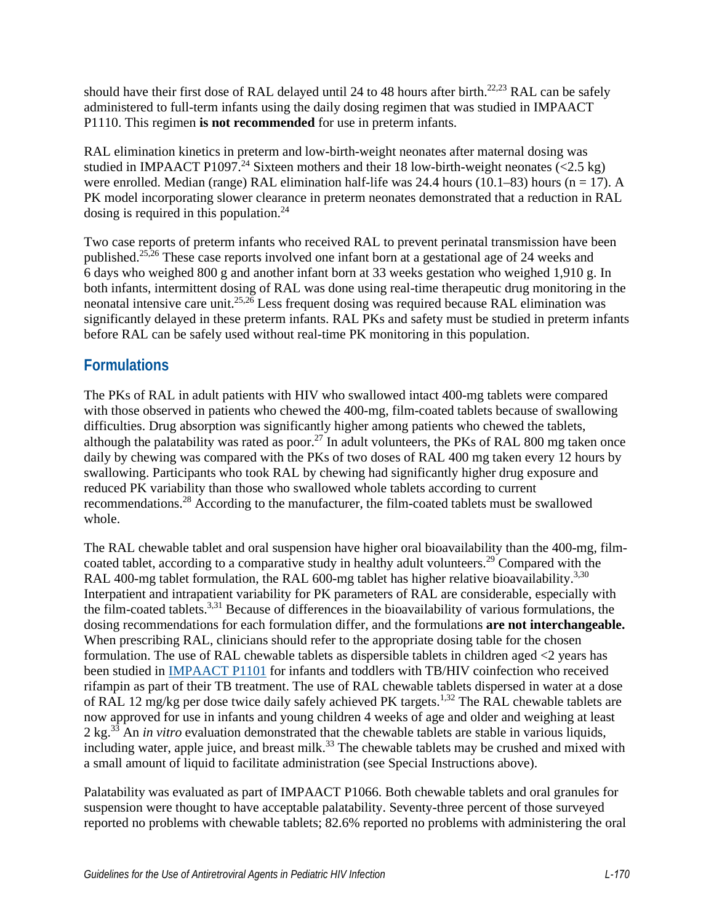should have their first dose of RAL delayed until 24 to 48 hours after birth.<sup>22,23</sup> RAL can be safely administered to full-term infants using the daily dosing regimen that was studied in IMPAACT P1110. This regimen **is not recommended** for use in preterm infants.

RAL elimination kinetics in preterm and low-birth-weight neonates after maternal dosing was studied in IMPAACT P1097.<sup>24</sup> Sixteen mothers and their 18 low-birth-weight neonates  $\overline{(-2.5 \text{ kg})}$ were enrolled. Median (range) RAL elimination half-life was 24.4 hours (10.1–83) hours (n = 17). A PK model incorporating slower clearance in preterm neonates demonstrated that a reduction in RAL dosing is required in this population.<sup>24</sup>

Two case reports of preterm infants who received RAL to prevent perinatal transmission have been published[.25](#page-13-5)[,26](#page-13-6) These case reports involved one infant born at a gestational age of 24 weeks and 6 days who weighed 800 g and another infant born at 33 weeks gestation who weighed 1,910 g. In both infants, intermittent dosing of RAL was done using real-time therapeutic drug monitoring in the neonatal intensive care unit.<sup>25,26</sup> Less frequent dosing was required because RAL elimination was significantly delayed in these preterm infants. RAL PKs and safety must be studied in preterm infants before RAL can be safely used without real-time PK monitoring in this population.

# **Formulations**

The PKs of RAL in adult patients with HIV who swallowed intact 400-mg tablets were compared with those observed in patients who chewed the 400-mg, film-coated tablets because of swallowing difficulties. Drug absorption was significantly higher among patients who chewed the tablets, although the palatability was rated as poor.<sup>27</sup> In adult volunteers, the PKs of RAL 800 mg taken once daily by chewing was compared with the PKs of two doses of RAL 400 mg taken every 12 hours by swallowing. Participants who took RAL by chewing had significantly higher drug exposure and reduced PK variability than those who swallowed whole tablets according to current recommendations[.28](#page-13-8) According to the manufacturer, the film-coated tablets must be swallowed whole.

The RAL chewable tablet and oral suspension have higher oral bioavailability than the 400-mg, filmcoated tablet, according to a comparative study in healthy adult volunteers.<sup>29</sup> Compared with the RAL 400-mg tablet formulation, the RAL 600-mg tablet has higher relative bioavailability.<sup>3,[30](#page-14-0)</sup> Interpatient and intrapatient variability for PK parameters of RAL are considerable, especially with the film-coated tablet[s.3,](#page-11-0)[31](#page-14-1) Because of differences in the bioavailability of various formulations, the dosing recommendations for each formulation differ, and the formulations **are not interchangeable.** When prescribing RAL, clinicians should refer to the appropriate dosing table for the chosen formulation. The use of RAL chewable tablets as dispersible tablets in children aged <2 years has been studied in [IMPAACT P1101](https://www.impaactnetwork.org/studies/p1101) for infants and toddlers with TB/HIV coinfection who received rifampin as part of their TB treatment. The use of RAL chewable tablets dispersed in water at a dose of RAL [1](#page-11-2)2 mg/kg per dose twice daily safely achieved PK targets.<sup>1,32</sup> The RAL chewable tablets are now approved for use in infants and young children 4 weeks of age and older and weighing at least 2 kg[.33](#page-14-3) An *in vitro* evaluation demonstrated that the chewable tablets are stable in various liquids, including water, apple juice, and breast milk. $^{33}$  The chewable tablets may be crushed and mixed with a small amount of liquid to facilitate administration (see Special Instructions above).

Palatability was evaluated as part of IMPAACT P1066. Both chewable tablets and oral granules for suspension were thought to have acceptable palatability. Seventy-three percent of those surveyed reported no problems with chewable tablets; 82.6% reported no problems with administering the oral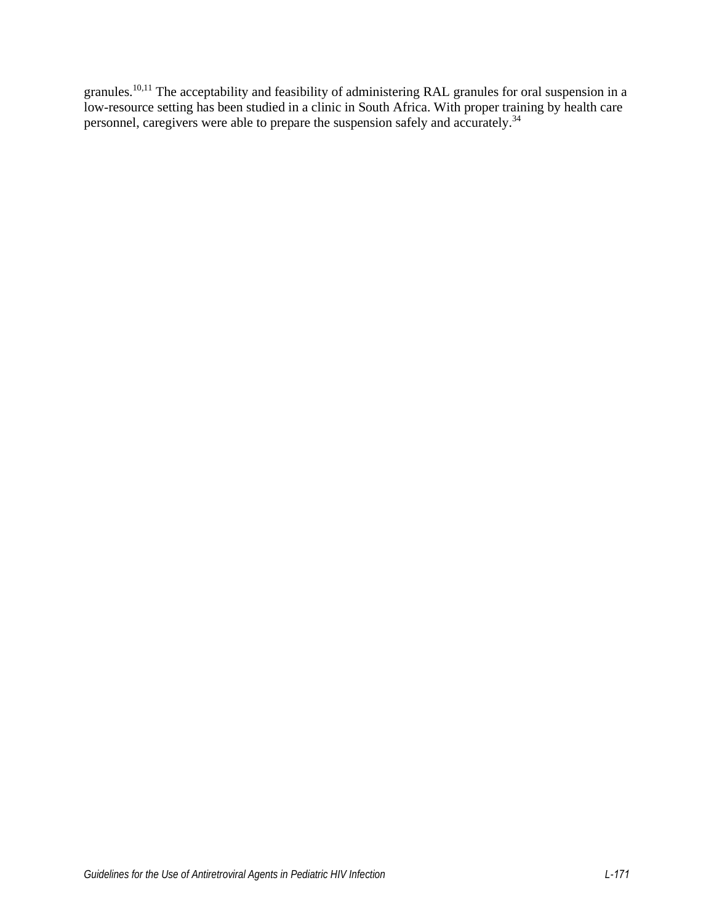granules.[10,](#page-11-1)[11](#page-12-4) The acceptability and feasibility of administering RAL granules for oral suspension in a low-resource setting has been studied in a clinic in South Africa. With proper training by health care personnel, caregivers were able to prepare the suspension safely and accurately.[34](#page-14-4)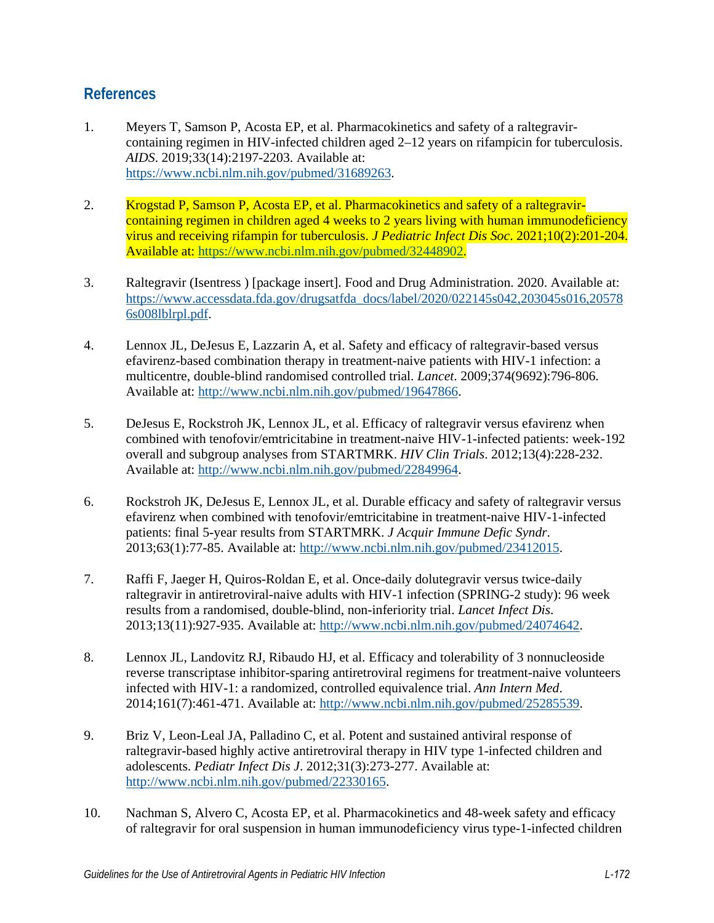### **References**

- <span id="page-11-2"></span>1. Meyers T, Samson P, Acosta EP, et al. Pharmacokinetics and safety of a raltegravircontaining regimen in HIV-infected children aged 2–12 years on rifampicin for tuberculosis. *AIDS*. 2019;33(14):2197-2203. Available at: [https://www.ncbi.nlm.nih.gov/pubmed/31689263.](https://www.ncbi.nlm.nih.gov/pubmed/31689263)
- 2. Krogstad P, Samson P, Acosta EP, et al. Pharmacokinetics and safety of a raltegravircontaining regimen in children aged 4 weeks to 2 years living with human immunodeficiency virus and receiving rifampin for tuberculosis. *J Pediatric Infect Dis Soc*. 2021;10(2):201-204. Available at: [https://www.ncbi.nlm.nih.gov/pubmed/32448902.](https://www.ncbi.nlm.nih.gov/pubmed/32448902)
- <span id="page-11-0"></span>3. Raltegravir (Isentress ) [package insert]. Food and Drug Administration. 2020. Available at: [https://www.accessdata.fda.gov/drugsatfda\\_docs/label/2020/022145s042,203045s016,20578](https://www.accessdata.fda.gov/drugsatfda_docs/label/2020/022145s042,203045s016,205786s008lblrpl.pdf) [6s008lblrpl.pdf.](https://www.accessdata.fda.gov/drugsatfda_docs/label/2020/022145s042,203045s016,205786s008lblrpl.pdf)
- 4. Lennox JL, DeJesus E, Lazzarin A, et al. Safety and efficacy of raltegravir-based versus efavirenz-based combination therapy in treatment-naive patients with HIV-1 infection: a multicentre, double-blind randomised controlled trial. *Lancet*. 2009;374(9692):796-806. Available at: [http://www.ncbi.nlm.nih.gov/pubmed/19647866.](http://www.ncbi.nlm.nih.gov/pubmed/19647866)
- 5. DeJesus E, Rockstroh JK, Lennox JL, et al. Efficacy of raltegravir versus efavirenz when combined with tenofovir/emtricitabine in treatment-naive HIV-1-infected patients: week-192 overall and subgroup analyses from STARTMRK. *HIV Clin Trials*. 2012;13(4):228-232. Available at: [http://www.ncbi.nlm.nih.gov/pubmed/22849964.](http://www.ncbi.nlm.nih.gov/pubmed/22849964)
- 6. Rockstroh JK, DeJesus E, Lennox JL, et al. Durable efficacy and safety of raltegravir versus efavirenz when combined with tenofovir/emtricitabine in treatment-naive HIV-1-infected patients: final 5-year results from STARTMRK. *J Acquir Immune Defic Syndr*. 2013;63(1):77-85. Available at: [http://www.ncbi.nlm.nih.gov/pubmed/23412015.](http://www.ncbi.nlm.nih.gov/pubmed/23412015)
- 7. Raffi F, Jaeger H, Quiros-Roldan E, et al. Once-daily dolutegravir versus twice-daily raltegravir in antiretroviral-naive adults with HIV-1 infection (SPRING-2 study): 96 week results from a randomised, double-blind, non-inferiority trial. *Lancet Infect Dis*. 2013;13(11):927-935. Available at: [http://www.ncbi.nlm.nih.gov/pubmed/24074642.](http://www.ncbi.nlm.nih.gov/pubmed/24074642)
- 8. Lennox JL, Landovitz RJ, Ribaudo HJ, et al. Efficacy and tolerability of 3 nonnucleoside reverse transcriptase inhibitor-sparing antiretroviral regimens for treatment-naive volunteers infected with HIV-1: a randomized, controlled equivalence trial. *Ann Intern Med*. 2014;161(7):461-471. Available at: [http://www.ncbi.nlm.nih.gov/pubmed/25285539.](http://www.ncbi.nlm.nih.gov/pubmed/25285539)
- 9. Briz V, Leon-Leal JA, Palladino C, et al. Potent and sustained antiviral response of raltegravir-based highly active antiretroviral therapy in HIV type 1-infected children and adolescents. *Pediatr Infect Dis J*. 2012;31(3):273-277. Available at: [http://www.ncbi.nlm.nih.gov/pubmed/22330165.](http://www.ncbi.nlm.nih.gov/pubmed/22330165)
- <span id="page-11-1"></span>10. Nachman S, Alvero C, Acosta EP, et al. Pharmacokinetics and 48-week safety and efficacy of raltegravir for oral suspension in human immunodeficiency virus type-1-infected children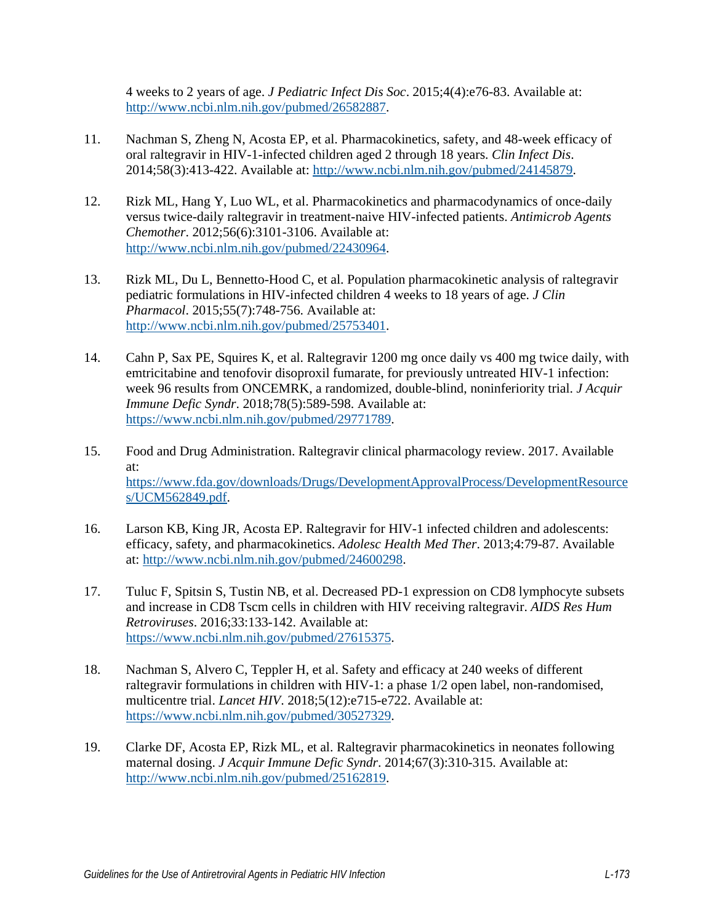4 weeks to 2 years of age. *J Pediatric Infect Dis Soc*. 2015;4(4):e76-83. Available at: [http://www.ncbi.nlm.nih.gov/pubmed/26582887.](http://www.ncbi.nlm.nih.gov/pubmed/26582887)

- <span id="page-12-4"></span>11. Nachman S, Zheng N, Acosta EP, et al. Pharmacokinetics, safety, and 48-week efficacy of oral raltegravir in HIV-1-infected children aged 2 through 18 years. *Clin Infect Dis*. 2014;58(3):413-422. Available at: [http://www.ncbi.nlm.nih.gov/pubmed/24145879.](http://www.ncbi.nlm.nih.gov/pubmed/24145879)
- <span id="page-12-0"></span>12. Rizk ML, Hang Y, Luo WL, et al. Pharmacokinetics and pharmacodynamics of once-daily versus twice-daily raltegravir in treatment-naive HIV-infected patients. *Antimicrob Agents Chemother*. 2012;56(6):3101-3106. Available at: [http://www.ncbi.nlm.nih.gov/pubmed/22430964.](http://www.ncbi.nlm.nih.gov/pubmed/22430964)
- <span id="page-12-1"></span>13. Rizk ML, Du L, Bennetto-Hood C, et al. Population pharmacokinetic analysis of raltegravir pediatric formulations in HIV-infected children 4 weeks to 18 years of age. *J Clin Pharmacol*. 2015;55(7):748-756. Available at: [http://www.ncbi.nlm.nih.gov/pubmed/25753401.](http://www.ncbi.nlm.nih.gov/pubmed/25753401)
- <span id="page-12-2"></span>14. Cahn P, Sax PE, Squires K, et al. Raltegravir 1200 mg once daily vs 400 mg twice daily, with emtricitabine and tenofovir disoproxil fumarate, for previously untreated HIV-1 infection: week 96 results from ONCEMRK, a randomized, double-blind, noninferiority trial. *J Acquir Immune Defic Syndr*. 2018;78(5):589-598. Available at: [https://www.ncbi.nlm.nih.gov/pubmed/29771789.](https://www.ncbi.nlm.nih.gov/pubmed/29771789)
- <span id="page-12-3"></span>15. Food and Drug Administration. Raltegravir clinical pharmacology review. 2017. Available at: [https://www.fda.gov/downloads/Drugs/DevelopmentApprovalProcess/DevelopmentResource](https://www.fda.gov/downloads/Drugs/DevelopmentApprovalProcess/DevelopmentResources/UCM562849.pdf) [s/UCM562849.pdf.](https://www.fda.gov/downloads/Drugs/DevelopmentApprovalProcess/DevelopmentResources/UCM562849.pdf)
- <span id="page-12-5"></span>16. Larson KB, King JR, Acosta EP. Raltegravir for HIV-1 infected children and adolescents: efficacy, safety, and pharmacokinetics. *Adolesc Health Med Ther*. 2013;4:79-87. Available at: [http://www.ncbi.nlm.nih.gov/pubmed/24600298.](http://www.ncbi.nlm.nih.gov/pubmed/24600298)
- <span id="page-12-6"></span>17. Tuluc F, Spitsin S, Tustin NB, et al. Decreased PD-1 expression on CD8 lymphocyte subsets and increase in CD8 Tscm cells in children with HIV receiving raltegravir. *AIDS Res Hum Retroviruses*. 2016;33:133-142. Available at: [https://www.ncbi.nlm.nih.gov/pubmed/27615375.](https://www.ncbi.nlm.nih.gov/pubmed/27615375)
- <span id="page-12-7"></span>18. Nachman S, Alvero C, Teppler H, et al. Safety and efficacy at 240 weeks of different raltegravir formulations in children with HIV-1: a phase 1/2 open label, non-randomised, multicentre trial. *Lancet HIV*. 2018;5(12):e715-e722. Available at: [https://www.ncbi.nlm.nih.gov/pubmed/30527329.](https://www.ncbi.nlm.nih.gov/pubmed/30527329)
- <span id="page-12-8"></span>19. Clarke DF, Acosta EP, Rizk ML, et al. Raltegravir pharmacokinetics in neonates following maternal dosing. *J Acquir Immune Defic Syndr*. 2014;67(3):310-315. Available at: [http://www.ncbi.nlm.nih.gov/pubmed/25162819.](http://www.ncbi.nlm.nih.gov/pubmed/25162819)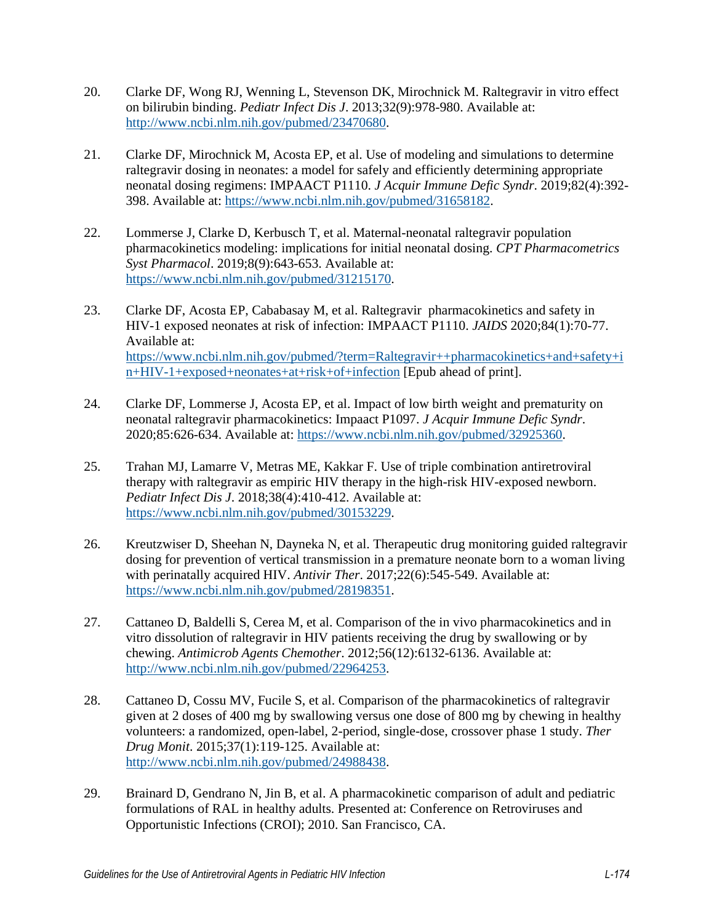- <span id="page-13-0"></span>20. Clarke DF, Wong RJ, Wenning L, Stevenson DK, Mirochnick M. Raltegravir in vitro effect on bilirubin binding. *Pediatr Infect Dis J*. 2013;32(9):978-980. Available at: [http://www.ncbi.nlm.nih.gov/pubmed/23470680.](http://www.ncbi.nlm.nih.gov/pubmed/23470680)
- <span id="page-13-1"></span>21. Clarke DF, Mirochnick M, Acosta EP, et al. Use of modeling and simulations to determine raltegravir dosing in neonates: a model for safely and efficiently determining appropriate neonatal dosing regimens: IMPAACT P1110. *J Acquir Immune Defic Syndr*. 2019;82(4):392- 398. Available at: [https://www.ncbi.nlm.nih.gov/pubmed/31658182.](https://www.ncbi.nlm.nih.gov/pubmed/31658182)
- <span id="page-13-2"></span>22. Lommerse J, Clarke D, Kerbusch T, et al. Maternal-neonatal raltegravir population pharmacokinetics modeling: implications for initial neonatal dosing. *CPT Pharmacometrics Syst Pharmacol*. 2019;8(9):643-653. Available at: [https://www.ncbi.nlm.nih.gov/pubmed/31215170.](https://www.ncbi.nlm.nih.gov/pubmed/31215170)
- <span id="page-13-3"></span>23. Clarke DF, Acosta EP, Cababasay M, et al. Raltegravir pharmacokinetics and safety in HIV-1 exposed neonates at risk of infection: IMPAACT P1110. *JAIDS* 2020;84(1):70-77. Available at: [https://www.ncbi.nlm.nih.gov/pubmed/?term=Raltegravir++pharmacokinetics+and+safety+i](https://www.ncbi.nlm.nih.gov/pubmed/?term=Raltegravir++pharmacokinetics+and+safety+in+HIV-1+exposed+neonates+at+risk+of+infection) [n+HIV-1+exposed+neonates+at+risk+of+infection](https://www.ncbi.nlm.nih.gov/pubmed/?term=Raltegravir++pharmacokinetics+and+safety+in+HIV-1+exposed+neonates+at+risk+of+infection) [Epub ahead of print].
- <span id="page-13-4"></span>24. Clarke DF, Lommerse J, Acosta EP, et al. Impact of low birth weight and prematurity on neonatal raltegravir pharmacokinetics: Impaact P1097. *J Acquir Immune Defic Syndr*. 2020;85:626-634. Available at: [https://www.ncbi.nlm.nih.gov/pubmed/32925360.](https://www.ncbi.nlm.nih.gov/pubmed/32925360)
- <span id="page-13-5"></span>25. Trahan MJ, Lamarre V, Metras ME, Kakkar F. Use of triple combination antiretroviral therapy with raltegravir as empiric HIV therapy in the high-risk HIV-exposed newborn. *Pediatr Infect Dis J*. 2018;38(4):410-412. Available at: [https://www.ncbi.nlm.nih.gov/pubmed/30153229.](https://www.ncbi.nlm.nih.gov/pubmed/30153229)
- <span id="page-13-6"></span>26. Kreutzwiser D, Sheehan N, Dayneka N, et al. Therapeutic drug monitoring guided raltegravir dosing for prevention of vertical transmission in a premature neonate born to a woman living with perinatally acquired HIV. *Antivir Ther*. 2017;22(6):545-549. Available at: [https://www.ncbi.nlm.nih.gov/pubmed/28198351.](https://www.ncbi.nlm.nih.gov/pubmed/28198351)
- <span id="page-13-7"></span>27. Cattaneo D, Baldelli S, Cerea M, et al. Comparison of the in vivo pharmacokinetics and in vitro dissolution of raltegravir in HIV patients receiving the drug by swallowing or by chewing. *Antimicrob Agents Chemother*. 2012;56(12):6132-6136. Available at: [http://www.ncbi.nlm.nih.gov/pubmed/22964253.](http://www.ncbi.nlm.nih.gov/pubmed/22964253)
- <span id="page-13-8"></span>28. Cattaneo D, Cossu MV, Fucile S, et al. Comparison of the pharmacokinetics of raltegravir given at 2 doses of 400 mg by swallowing versus one dose of 800 mg by chewing in healthy volunteers: a randomized, open-label, 2-period, single-dose, crossover phase 1 study. *Ther Drug Monit*. 2015;37(1):119-125. Available at: [http://www.ncbi.nlm.nih.gov/pubmed/24988438.](http://www.ncbi.nlm.nih.gov/pubmed/24988438)
- <span id="page-13-9"></span>29. Brainard D, Gendrano N, Jin B, et al. A pharmacokinetic comparison of adult and pediatric formulations of RAL in healthy adults. Presented at: Conference on Retroviruses and Opportunistic Infections (CROI); 2010. San Francisco, CA.